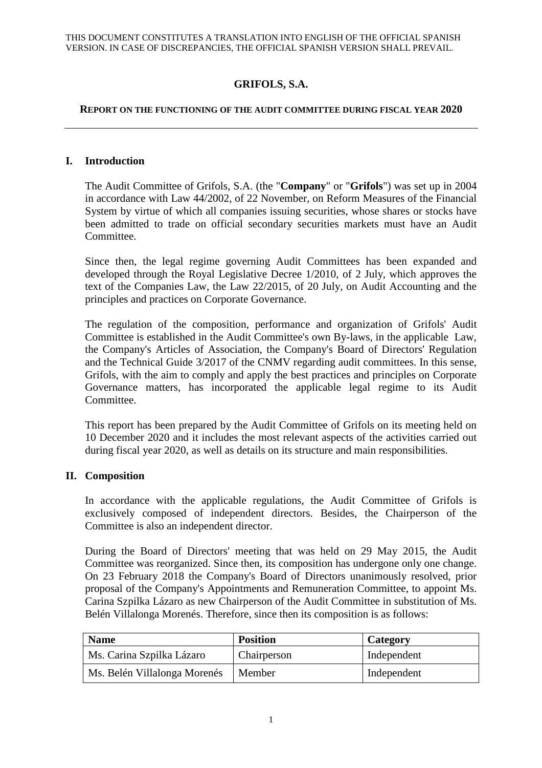# **GRIFOLS, S.A.**

#### **REPORT ON THE FUNCTIONING OF THE AUDIT COMMITTEE DURING FISCAL YEAR 2020**

### **I. Introduction**

The Audit Committee of Grifols, S.A. (the "**Company**" or "**Grifols**") was set up in 2004 in accordance with Law 44/2002, of 22 November, on Reform Measures of the Financial System by virtue of which all companies issuing securities, whose shares or stocks have been admitted to trade on official secondary securities markets must have an Audit Committee.

Since then, the legal regime governing Audit Committees has been expanded and developed through the Royal Legislative Decree 1/2010, of 2 July, which approves the text of the Companies Law, the Law 22/2015, of 20 July, on Audit Accounting and the principles and practices on Corporate Governance.

The regulation of the composition, performance and organization of Grifols' Audit Committee is established in the Audit Committee's own By-laws, in the applicable Law, the Company's Articles of Association, the Company's Board of Directors' Regulation and the Technical Guide 3/2017 of the CNMV regarding audit committees. In this sense, Grifols, with the aim to comply and apply the best practices and principles on Corporate Governance matters, has incorporated the applicable legal regime to its Audit Committee.

This report has been prepared by the Audit Committee of Grifols on its meeting held on 10 December 2020 and it includes the most relevant aspects of the activities carried out during fiscal year 2020, as well as details on its structure and main responsibilities.

### **II. Composition**

In accordance with the applicable regulations, the Audit Committee of Grifols is exclusively composed of independent directors. Besides, the Chairperson of the Committee is also an independent director.

During the Board of Directors' meeting that was held on 29 May 2015, the Audit Committee was reorganized. Since then, its composition has undergone only one change. On 23 February 2018 the Company's Board of Directors unanimously resolved, prior proposal of the Company's Appointments and Remuneration Committee, to appoint Ms. Carina Szpilka Lázaro as new Chairperson of the Audit Committee in substitution of Ms. Belén Villalonga Morenés. Therefore, since then its composition is as follows:

| <b>Name</b>                  | <b>Position</b> | Category    |
|------------------------------|-----------------|-------------|
| Ms. Carina Szpilka Lázaro    | Chairperson     | Independent |
| Ms. Belén Villalonga Morenés | Member          | Independent |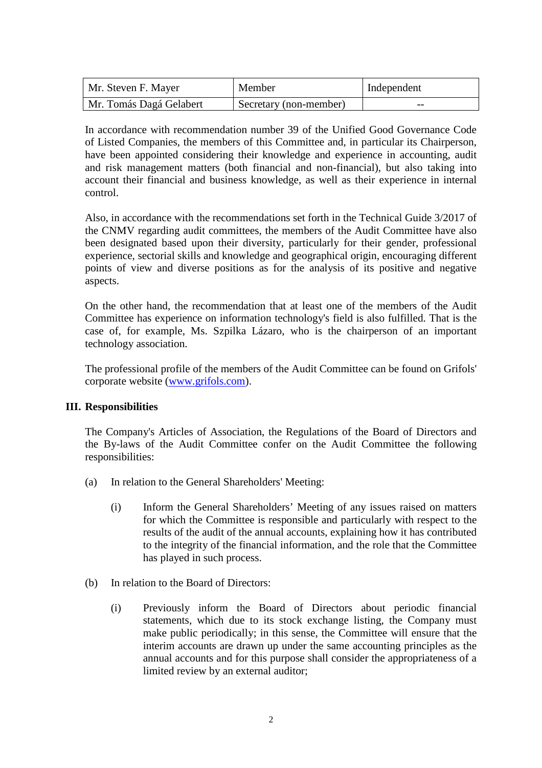| Mr. Steven F. Mayer     | Member                 | Independent |
|-------------------------|------------------------|-------------|
| Mr. Tomás Dagá Gelabert | Secretary (non-member) | $- -$       |

In accordance with recommendation number 39 of the Unified Good Governance Code of Listed Companies, the members of this Committee and, in particular its Chairperson, have been appointed considering their knowledge and experience in accounting, audit and risk management matters (both financial and non-financial), but also taking into account their financial and business knowledge, as well as their experience in internal control.

Also, in accordance with the recommendations set forth in the Technical Guide 3/2017 of the CNMV regarding audit committees, the members of the Audit Committee have also been designated based upon their diversity, particularly for their gender, professional experience, sectorial skills and knowledge and geographical origin, encouraging different points of view and diverse positions as for the analysis of its positive and negative aspects.

On the other hand, the recommendation that at least one of the members of the Audit Committee has experience on information technology's field is also fulfilled. That is the case of, for example, Ms. Szpilka Lázaro, who is the chairperson of an important technology association.

The professional profile of the members of the Audit Committee can be found on Grifols' corporate website (www.grifols.com).

## **III. Responsibilities**

The Company's Articles of Association, the Regulations of the Board of Directors and the By-laws of the Audit Committee confer on the Audit Committee the following responsibilities:

- (a) In relation to the General Shareholders' Meeting:
	- (i) Inform the General Shareholders' Meeting of any issues raised on matters for which the Committee is responsible and particularly with respect to the results of the audit of the annual accounts, explaining how it has contributed to the integrity of the financial information, and the role that the Committee has played in such process.
- (b) In relation to the Board of Directors:
	- (i) Previously inform the Board of Directors about periodic financial statements, which due to its stock exchange listing, the Company must make public periodically; in this sense, the Committee will ensure that the interim accounts are drawn up under the same accounting principles as the annual accounts and for this purpose shall consider the appropriateness of a limited review by an external auditor;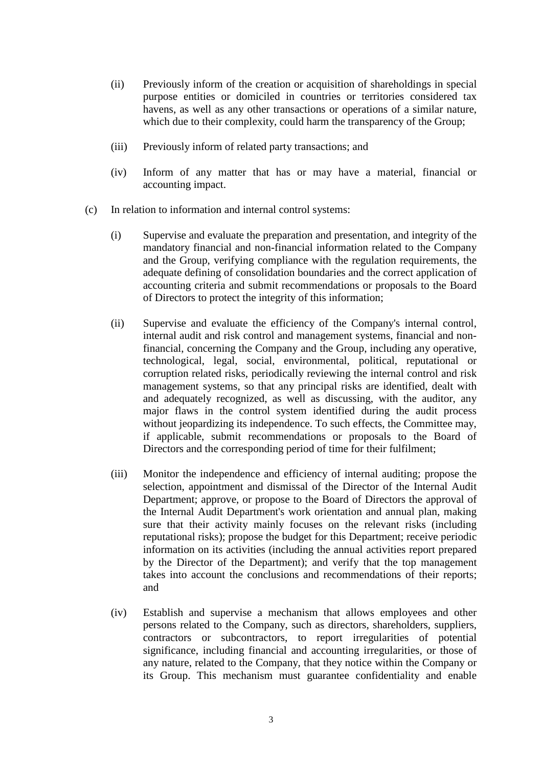- (ii) Previously inform of the creation or acquisition of shareholdings in special purpose entities or domiciled in countries or territories considered tax havens, as well as any other transactions or operations of a similar nature, which due to their complexity, could harm the transparency of the Group;
- (iii) Previously inform of related party transactions; and
- (iv) Inform of any matter that has or may have a material, financial or accounting impact.
- (c) In relation to information and internal control systems:
	- (i) Supervise and evaluate the preparation and presentation, and integrity of the mandatory financial and non-financial information related to the Company and the Group, verifying compliance with the regulation requirements, the adequate defining of consolidation boundaries and the correct application of accounting criteria and submit recommendations or proposals to the Board of Directors to protect the integrity of this information;
	- (ii) Supervise and evaluate the efficiency of the Company's internal control, internal audit and risk control and management systems, financial and nonfinancial, concerning the Company and the Group, including any operative, technological, legal, social, environmental, political, reputational or corruption related risks, periodically reviewing the internal control and risk management systems, so that any principal risks are identified, dealt with and adequately recognized, as well as discussing, with the auditor, any major flaws in the control system identified during the audit process without jeopardizing its independence. To such effects, the Committee may, if applicable, submit recommendations or proposals to the Board of Directors and the corresponding period of time for their fulfilment;
	- (iii) Monitor the independence and efficiency of internal auditing; propose the selection, appointment and dismissal of the Director of the Internal Audit Department; approve, or propose to the Board of Directors the approval of the Internal Audit Department's work orientation and annual plan, making sure that their activity mainly focuses on the relevant risks (including reputational risks); propose the budget for this Department; receive periodic information on its activities (including the annual activities report prepared by the Director of the Department); and verify that the top management takes into account the conclusions and recommendations of their reports; and
	- (iv) Establish and supervise a mechanism that allows employees and other persons related to the Company, such as directors, shareholders, suppliers, contractors or subcontractors, to report irregularities of potential significance, including financial and accounting irregularities, or those of any nature, related to the Company, that they notice within the Company or its Group. This mechanism must guarantee confidentiality and enable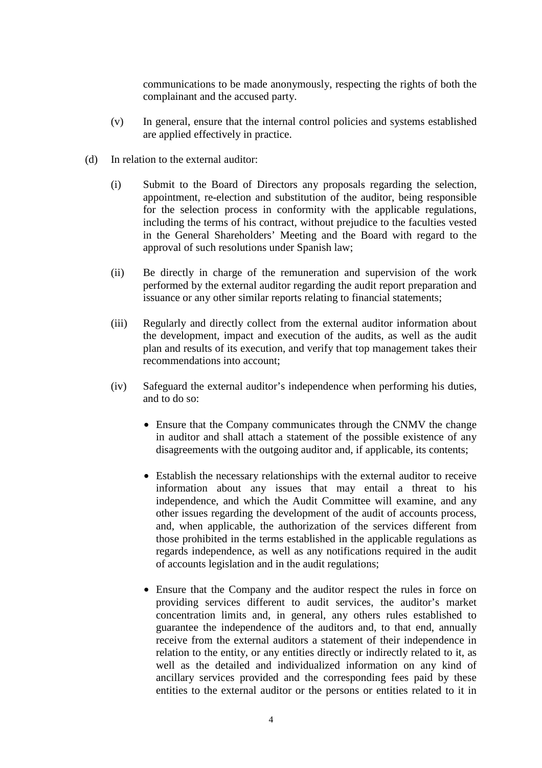communications to be made anonymously, respecting the rights of both the complainant and the accused party.

- (v) In general, ensure that the internal control policies and systems established are applied effectively in practice.
- (d) In relation to the external auditor:
	- (i) Submit to the Board of Directors any proposals regarding the selection, appointment, re-election and substitution of the auditor, being responsible for the selection process in conformity with the applicable regulations, including the terms of his contract, without prejudice to the faculties vested in the General Shareholders' Meeting and the Board with regard to the approval of such resolutions under Spanish law;
	- (ii) Be directly in charge of the remuneration and supervision of the work performed by the external auditor regarding the audit report preparation and issuance or any other similar reports relating to financial statements;
	- (iii) Regularly and directly collect from the external auditor information about the development, impact and execution of the audits, as well as the audit plan and results of its execution, and verify that top management takes their recommendations into account;
	- (iv) Safeguard the external auditor's independence when performing his duties, and to do so:
		- Ensure that the Company communicates through the CNMV the change in auditor and shall attach a statement of the possible existence of any disagreements with the outgoing auditor and, if applicable, its contents;
		- Establish the necessary relationships with the external auditor to receive information about any issues that may entail a threat to his independence, and which the Audit Committee will examine, and any other issues regarding the development of the audit of accounts process, and, when applicable, the authorization of the services different from those prohibited in the terms established in the applicable regulations as regards independence, as well as any notifications required in the audit of accounts legislation and in the audit regulations;
		- Ensure that the Company and the auditor respect the rules in force on providing services different to audit services, the auditor's market concentration limits and, in general, any others rules established to guarantee the independence of the auditors and, to that end, annually receive from the external auditors a statement of their independence in relation to the entity, or any entities directly or indirectly related to it, as well as the detailed and individualized information on any kind of ancillary services provided and the corresponding fees paid by these entities to the external auditor or the persons or entities related to it in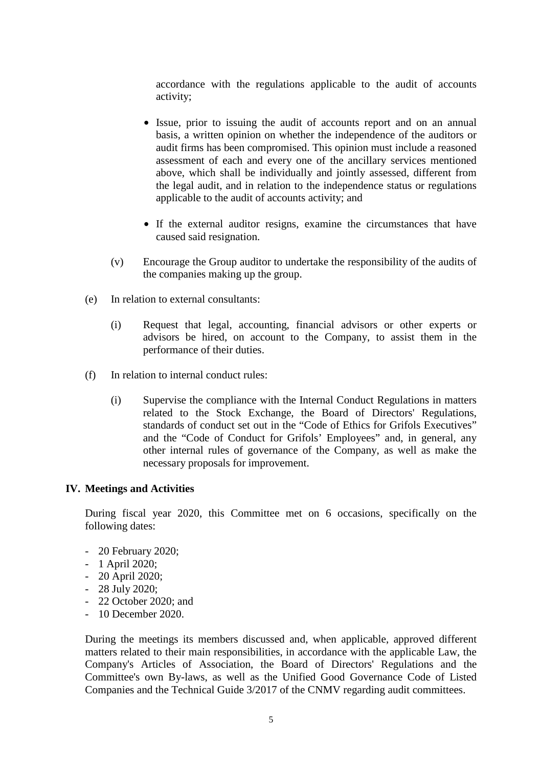accordance with the regulations applicable to the audit of accounts activity;

- Issue, prior to issuing the audit of accounts report and on an annual basis, a written opinion on whether the independence of the auditors or audit firms has been compromised. This opinion must include a reasoned assessment of each and every one of the ancillary services mentioned above, which shall be individually and jointly assessed, different from the legal audit, and in relation to the independence status or regulations applicable to the audit of accounts activity; and
- If the external auditor resigns, examine the circumstances that have caused said resignation.
- (v) Encourage the Group auditor to undertake the responsibility of the audits of the companies making up the group.
- (e) In relation to external consultants:
	- (i) Request that legal, accounting, financial advisors or other experts or advisors be hired, on account to the Company, to assist them in the performance of their duties.
- (f) In relation to internal conduct rules:
	- (i) Supervise the compliance with the Internal Conduct Regulations in matters related to the Stock Exchange, the Board of Directors' Regulations, standards of conduct set out in the "Code of Ethics for Grifols Executives" and the "Code of Conduct for Grifols' Employees" and, in general, any other internal rules of governance of the Company, as well as make the necessary proposals for improvement.

### **IV. Meetings and Activities**

During fiscal year 2020, this Committee met on 6 occasions, specifically on the following dates:

- 20 February 2020;
- 1 April 2020;
- 20 April 2020;
- $-28$  July 2020:
- 22 October 2020; and
- 10 December 2020.

During the meetings its members discussed and, when applicable, approved different matters related to their main responsibilities, in accordance with the applicable Law, the Company's Articles of Association, the Board of Directors' Regulations and the Committee's own By-laws, as well as the Unified Good Governance Code of Listed Companies and the Technical Guide 3/2017 of the CNMV regarding audit committees.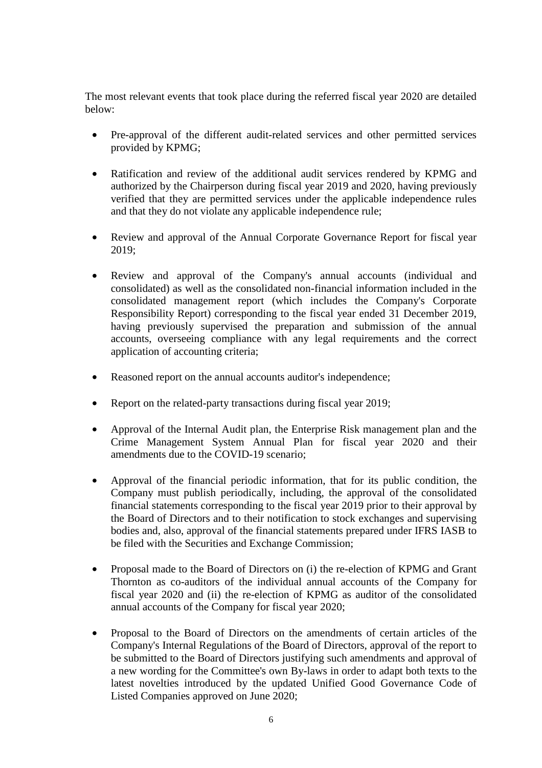The most relevant events that took place during the referred fiscal year 2020 are detailed below:

- Pre-approval of the different audit-related services and other permitted services provided by KPMG;
- Ratification and review of the additional audit services rendered by KPMG and authorized by the Chairperson during fiscal year 2019 and 2020, having previously verified that they are permitted services under the applicable independence rules and that they do not violate any applicable independence rule;
- Review and approval of the Annual Corporate Governance Report for fiscal year 2019;
- Review and approval of the Company's annual accounts (individual and consolidated) as well as the consolidated non-financial information included in the consolidated management report (which includes the Company's Corporate Responsibility Report) corresponding to the fiscal year ended 31 December 2019, having previously supervised the preparation and submission of the annual accounts, overseeing compliance with any legal requirements and the correct application of accounting criteria;
- Reasoned report on the annual accounts auditor's independence;
- Report on the related-party transactions during fiscal year 2019;
- Approval of the Internal Audit plan, the Enterprise Risk management plan and the Crime Management System Annual Plan for fiscal year 2020 and their amendments due to the COVID-19 scenario;
- Approval of the financial periodic information, that for its public condition, the Company must publish periodically, including, the approval of the consolidated financial statements corresponding to the fiscal year 2019 prior to their approval by the Board of Directors and to their notification to stock exchanges and supervising bodies and, also, approval of the financial statements prepared under IFRS IASB to be filed with the Securities and Exchange Commission;
- Proposal made to the Board of Directors on (i) the re-election of KPMG and Grant Thornton as co-auditors of the individual annual accounts of the Company for fiscal year 2020 and (ii) the re-election of KPMG as auditor of the consolidated annual accounts of the Company for fiscal year 2020;
- Proposal to the Board of Directors on the amendments of certain articles of the Company's Internal Regulations of the Board of Directors, approval of the report to be submitted to the Board of Directors justifying such amendments and approval of a new wording for the Committee's own By-laws in order to adapt both texts to the latest novelties introduced by the updated Unified Good Governance Code of Listed Companies approved on June 2020;